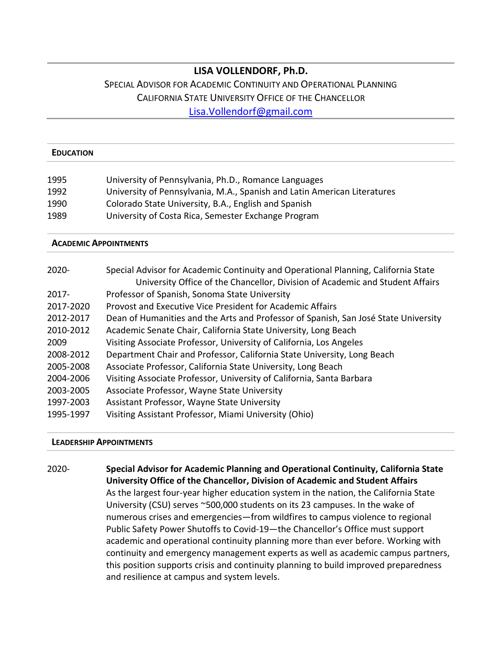## **LISA VOLLENDORF, Ph.D.**

# SPECIAL ADVISOR FOR ACADEMIC CONTINUITY AND OPERATIONAL PLANNING CALIFORNIA STATE UNIVERSITY OFFICE OF THE CHANCELLOR [Lisa.Vollendorf@gmail.com](mailto:Lisa.Vollendorf@gmail.com)

#### **EDUCATION**

| 1995 | University of Pennsylvania, Ph.D., Romance Languages                     |
|------|--------------------------------------------------------------------------|
| 1992 | University of Pennsylvania, M.A., Spanish and Latin American Literatures |
| 1990 | Colorado State University, B.A., English and Spanish                     |
| 1989 | University of Costa Rica, Semester Exchange Program                      |

#### **ACADEMIC APPOINTMENTS**

| $2020 -$  | Special Advisor for Academic Continuity and Operational Planning, California State<br>University Office of the Chancellor, Division of Academic and Student Affairs |
|-----------|---------------------------------------------------------------------------------------------------------------------------------------------------------------------|
| $2017 -$  | Professor of Spanish, Sonoma State University                                                                                                                       |
| 2017-2020 | Provost and Executive Vice President for Academic Affairs                                                                                                           |
| 2012-2017 | Dean of Humanities and the Arts and Professor of Spanish, San José State University                                                                                 |
| 2010-2012 | Academic Senate Chair, California State University, Long Beach                                                                                                      |
| 2009      | Visiting Associate Professor, University of California, Los Angeles                                                                                                 |
| 2008-2012 | Department Chair and Professor, California State University, Long Beach                                                                                             |
| 2005-2008 | Associate Professor, California State University, Long Beach                                                                                                        |
| 2004-2006 | Visiting Associate Professor, University of California, Santa Barbara                                                                                               |
| 2003-2005 | Associate Professor, Wayne State University                                                                                                                         |
| 1997-2003 | Assistant Professor, Wayne State University                                                                                                                         |
| 1995-1997 | Visiting Assistant Professor, Miami University (Ohio)                                                                                                               |

## **LEADERSHIP APPOINTMENTS**

2020- **Special Advisor for Academic Planning and Operational Continuity, California State University Office of the Chancellor, Division of Academic and Student Affairs**  As the largest four-year higher education system in the nation, the California State University (CSU) serves ~500,000 students on its 23 campuses. In the wake of numerous crises and emergencies—from wildfires to campus violence to regional Public Safety Power Shutoffs to Covid-19—the Chancellor's Office must support academic and operational continuity planning more than ever before. Working with continuity and emergency management experts as well as academic campus partners, this position supports crisis and continuity planning to build improved preparedness and resilience at campus and system levels.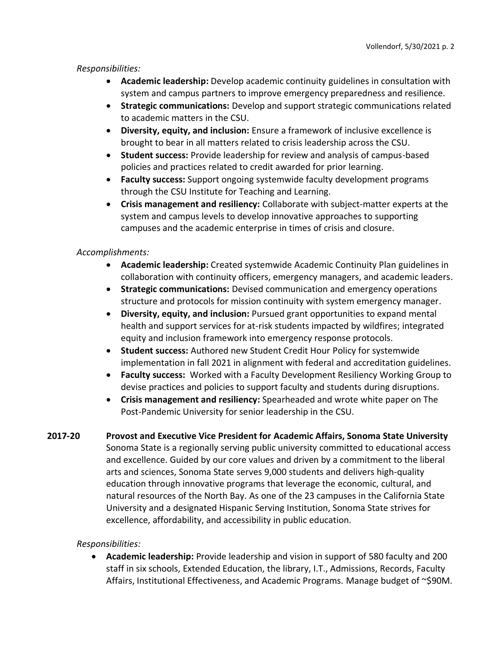## *Responsibilities:*

- **Academic leadership:** Develop academic continuity guidelines in consultation with system and campus partners to improve emergency preparedness and resilience.
- **Strategic communications:** Develop and support strategic communications related to academic matters in the CSU.
- **Diversity, equity, and inclusion:** Ensure a framework of inclusive excellence is brought to bear in all matters related to crisis leadership across the CSU.
- **Student success:** Provide leadership for review and analysis of campus-based policies and practices related to credit awarded for prior learning.
- **Faculty success:** Support ongoing systemwide faculty development programs through the CSU Institute for Teaching and Learning.
- **Crisis management and resiliency:** Collaborate with subject-matter experts at the system and campus levels to develop innovative approaches to supporting campuses and the academic enterprise in times of crisis and closure.

## *Accomplishments:*

- **Academic leadership:** Created systemwide Academic Continuity Plan guidelines in collaboration with continuity officers, emergency managers, and academic leaders.
- **Strategic communications:** Devised communication and emergency operations structure and protocols for mission continuity with system emergency manager.
- **Diversity, equity, and inclusion:** Pursued grant opportunities to expand mental health and support services for at-risk students impacted by wildfires; integrated equity and inclusion framework into emergency response protocols.
- **Student success:** Authored new Student Credit Hour Policy for systemwide implementation in fall 2021 in alignment with federal and accreditation guidelines.
- **Faculty success:** Worked with a Faculty Development Resiliency Working Group to devise practices and policies to support faculty and students during disruptions.
- **Crisis management and resiliency:** Spearheaded and wrote white paper on The Post-Pandemic University for senior leadership in the CSU.
- **2017-20 Provost and Executive Vice President for Academic Affairs, Sonoma State University** Sonoma State is a regionally serving public university committed to educational access and excellence. Guided by our core values and driven by a commitment to the liberal arts and sciences, Sonoma State serves 9,000 students and delivers high-quality education through innovative programs that leverage the economic, cultural, and natural resources of the North Bay. As one of the 23 campuses in the California State University and a designated Hispanic Serving Institution, Sonoma State strives for excellence, affordability, and accessibility in public education.

## *Responsibilities:*

• **Academic leadership:** Provide leadership and vision in support of 580 faculty and 200 staff in six schools, Extended Education, the library, I.T., Admissions, Records, Faculty Affairs, Institutional Effectiveness, and Academic Programs. Manage budget of ~\$90M.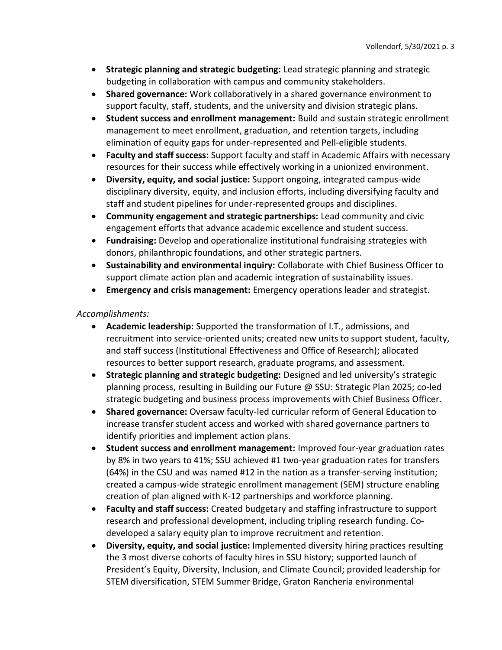- **Strategic planning and strategic budgeting:** Lead strategic planning and strategic budgeting in collaboration with campus and community stakeholders.
- **Shared governance:** Work collaboratively in a shared governance environment to support faculty, staff, students, and the university and division strategic plans.
- **Student success and enrollment management:** Build and sustain strategic enrollment management to meet enrollment, graduation, and retention targets, including elimination of equity gaps for under-represented and Pell-eligible students.
- **Faculty and staff success:** Support faculty and staff in Academic Affairs with necessary resources for their success while effectively working in a unionized environment.
- **Diversity, equity, and social justice:** Support ongoing, integrated campus-wide disciplinary diversity, equity, and inclusion efforts, including diversifying faculty and staff and student pipelines for under-represented groups and disciplines.
- **Community engagement and strategic partnerships:** Lead community and civic engagement efforts that advance academic excellence and student success.
- **Fundraising:** Develop and operationalize institutional fundraising strategies with donors, philanthropic foundations, and other strategic partners.
- **Sustainability and environmental inquiry:** Collaborate with Chief Business Officer to support climate action plan and academic integration of sustainability issues.
- **Emergency and crisis management:** Emergency operations leader and strategist.

## *Accomplishments:*

- **Academic leadership:** Supported the transformation of I.T., admissions, and recruitment into service-oriented units; created new units to support student, faculty, and staff success (Institutional Effectiveness and Office of Research); allocated resources to better support research, graduate programs, and assessment.
- **Strategic planning and strategic budgeting:** Designed and led university's strategic planning process, resulting in Building our Future @ SSU: Strategic Plan 2025; co-led strategic budgeting and business process improvements with Chief Business Officer.
- **Shared governance:** Oversaw faculty-led curricular reform of General Education to increase transfer student access and worked with shared governance partners to identify priorities and implement action plans.
- **Student success and enrollment management:** Improved four-year graduation rates by 8% in two years to 41%; SSU achieved #1 two-year graduation rates for transfers (64%) in the CSU and was named #12 in the nation as a transfer-serving institution; created a campus-wide strategic enrollment management (SEM) structure enabling creation of plan aligned with K-12 partnerships and workforce planning.
- **Faculty and staff success:** Created budgetary and staffing infrastructure to support research and professional development, including tripling research funding. Codeveloped a salary equity plan to improve recruitment and retention.
- **Diversity, equity, and social justice:** Implemented diversity hiring practices resulting the 3 most diverse cohorts of faculty hires in SSU history; supported launch of President's Equity, Diversity, Inclusion, and Climate Council; provided leadership for STEM diversification, STEM Summer Bridge, Graton Rancheria environmental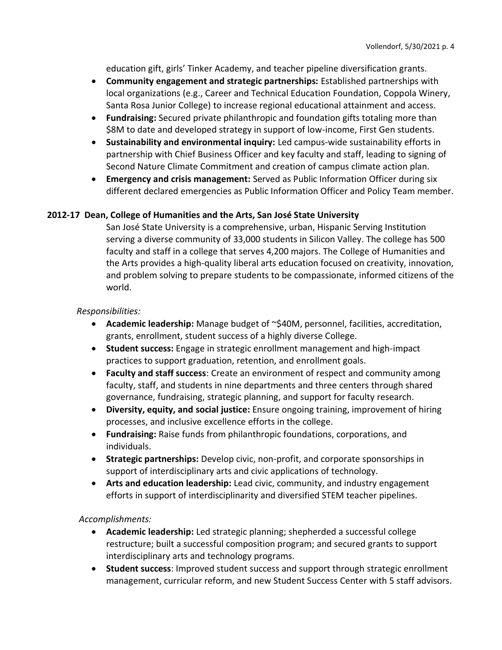education gift, girls' Tinker Academy, and teacher pipeline diversification grants.

- **Community engagement and strategic partnerships:** Established partnerships with local organizations (e.g., Career and Technical Education Foundation, Coppola Winery, Santa Rosa Junior College) to increase regional educational attainment and access.
- **Fundraising:** Secured private philanthropic and foundation gifts totaling more than \$8M to date and developed strategy in support of low-income, First Gen students.
- **Sustainability and environmental inquiry:** Led campus-wide sustainability efforts in partnership with Chief Business Officer and key faculty and staff, leading to signing of Second Nature Climate Commitment and creation of campus climate action plan.
- **Emergency and crisis management:** Served as Public Information Officer during six different declared emergencies as Public Information Officer and Policy Team member.

## **2012-17 Dean, College of Humanities and the Arts, San José State University**

San José State University is a comprehensive, urban, Hispanic Serving Institution serving a diverse community of 33,000 students in Silicon Valley. The college has 500 faculty and staff in a college that serves 4,200 majors. The College of Humanities and the Arts provides a high-quality liberal arts education focused on creativity, innovation, and problem solving to prepare students to be compassionate, informed citizens of the world.

### *Responsibilities:*

- **Academic leadership:** Manage budget of ~\$40M, personnel, facilities, accreditation, grants, enrollment, student success of a highly diverse College.
- **Student success:** Engage in strategic enrollment management and high-impact practices to support graduation, retention, and enrollment goals.
- **Faculty and staff success**: Create an environment of respect and community among faculty, staff, and students in nine departments and three centers through shared governance, fundraising, strategic planning, and support for faculty research.
- **Diversity, equity, and social justice:** Ensure ongoing training, improvement of hiring processes, and inclusive excellence efforts in the college.
- **Fundraising:** Raise funds from philanthropic foundations, corporations, and individuals.
- **Strategic partnerships:** Develop civic, non-profit, and corporate sponsorships in support of interdisciplinary arts and civic applications of technology.
- **Arts and education leadership:** Lead civic, community, and industry engagement efforts in support of interdisciplinarity and diversified STEM teacher pipelines.

## *Accomplishments:*

- **Academic leadership:** Led strategic planning; shepherded a successful college restructure; built a successful composition program; and secured grants to support interdisciplinary arts and technology programs.
- **Student success**: Improved student success and support through strategic enrollment management, curricular reform, and new Student Success Center with 5 staff advisors.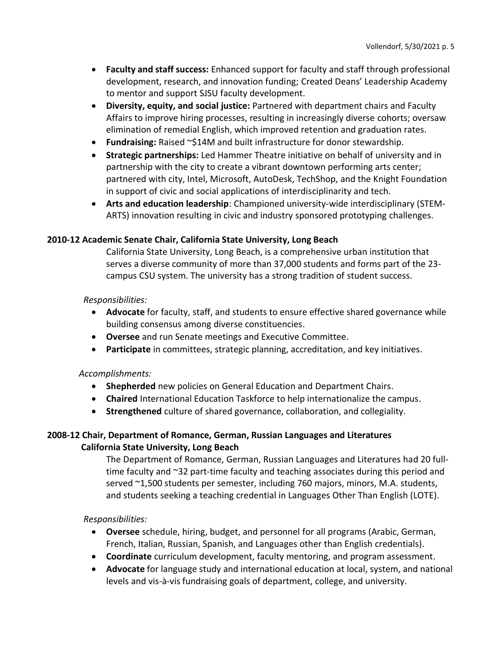- **Faculty and staff success:** Enhanced support for faculty and staff through professional development, research, and innovation funding; Created Deans' Leadership Academy to mentor and support SJSU faculty development.
- **Diversity, equity, and social justice:** Partnered with department chairs and Faculty Affairs to improve hiring processes, resulting in increasingly diverse cohorts; oversaw elimination of remedial English, which improved retention and graduation rates.
- **Fundraising:** Raised ~\$14M and built infrastructure for donor stewardship.
- **Strategic partnerships:** Led Hammer Theatre initiative on behalf of university and in partnership with the city to create a vibrant downtown performing arts center; partnered with city, Intel, Microsoft, AutoDesk, TechShop, and the Knight Foundation in support of civic and social applications of interdisciplinarity and tech.
- **Arts and education leadership**: Championed university-wide interdisciplinary (STEM-ARTS) innovation resulting in civic and industry sponsored prototyping challenges.

## **2010-12 Academic Senate Chair, California State University, Long Beach**

California State University, Long Beach, is a comprehensive urban institution that serves a diverse community of more than 37,000 students and forms part of the 23 campus CSU system. The university has a strong tradition of student success.

## *Responsibilities:*

- **Advocate** for faculty, staff, and students to ensure effective shared governance while building consensus among diverse constituencies.
- **Oversee** and run Senate meetings and Executive Committee.
- **Participate** in committees, strategic planning, accreditation, and key initiatives.

## *Accomplishments:*

- **Shepherded** new policies on General Education and Department Chairs.
- **Chaired** International Education Taskforce to help internationalize the campus.
- **Strengthened** culture of shared governance, collaboration, and collegiality.

## **2008-12 Chair, Department of Romance, German, Russian Languages and Literatures California State University, Long Beach**

The Department of Romance, German, Russian Languages and Literatures had 20 fulltime faculty and ~32 part-time faculty and teaching associates during this period and served ~1,500 students per semester, including 760 majors, minors, M.A. students, and students seeking a teaching credential in Languages Other Than English (LOTE).

## *Responsibilities:*

- **Oversee** schedule, hiring, budget, and personnel for all programs (Arabic, German, French, Italian, Russian, Spanish, and Languages other than English credentials).
- **Coordinate** curriculum development, faculty mentoring, and program assessment.
- **Advocate** for language study and international education at local, system, and national levels and vis-à-vis fundraising goals of department, college, and university.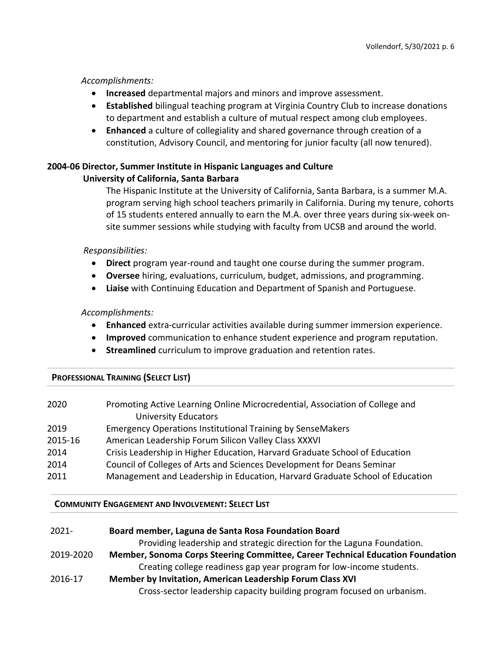### *Accomplishments:*

- **Increased** departmental majors and minors and improve assessment.
- **Established** bilingual teaching program at Virginia Country Club to increase donations to department and establish a culture of mutual respect among club employees.
- **Enhanced** a culture of collegiality and shared governance through creation of a constitution, Advisory Council, and mentoring for junior faculty (all now tenured).

## **2004-06 Director, Summer Institute in Hispanic Languages and Culture University of California, Santa Barbara**

The Hispanic Institute at the University of California, Santa Barbara, is a summer M.A. program serving high school teachers primarily in California. During my tenure, cohorts of 15 students entered annually to earn the M.A. over three years during six-week onsite summer sessions while studying with faculty from UCSB and around the world.

## *Responsibilities:*

- **Direct** program year-round and taught one course during the summer program.
- **Oversee** hiring, evaluations, curriculum, budget, admissions, and programming.
- **Liaise** with Continuing Education and Department of Spanish and Portuguese.

### *Accomplishments:*

- **Enhanced** extra-curricular activities available during summer immersion experience.
- **Improved** communication to enhance student experience and program reputation.
- **Streamlined** curriculum to improve graduation and retention rates.

## **PROFESSIONAL TRAINING (SELECT LIST)**

| Promoting Active Learning Online Microcredential, Association of College and<br>2020<br><b>University Educators</b> |  |
|---------------------------------------------------------------------------------------------------------------------|--|
| <b>Emergency Operations Institutional Training by SenseMakers</b><br>2019                                           |  |
| 2015-16<br>American Leadership Forum Silicon Valley Class XXXVI                                                     |  |
| Crisis Leadership in Higher Education, Harvard Graduate School of Education<br>2014                                 |  |
| Council of Colleges of Arts and Sciences Development for Deans Seminar<br>2014                                      |  |
| Management and Leadership in Education, Harvard Graduate School of Education<br>2011                                |  |

#### **COMMUNITY ENGAGEMENT AND INVOLVEMENT: SELECT LIST**

| $2021 -$  | Board member, Laguna de Santa Rosa Foundation Board                            |
|-----------|--------------------------------------------------------------------------------|
|           | Providing leadership and strategic direction for the Laguna Foundation.        |
| 2019-2020 | Member, Sonoma Corps Steering Committee, Career Technical Education Foundation |
|           | Creating college readiness gap year program for low-income students.           |
| 2016-17   | Member by Invitation, American Leadership Forum Class XVI                      |
|           | Cross-sector leadership capacity building program focused on urbanism.         |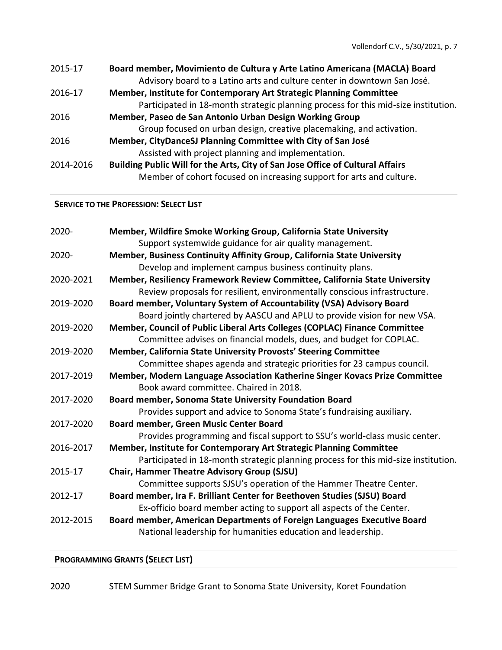| 2015-17   | Board member, Movimiento de Cultura y Arte Latino Americana (MACLA) Board          |
|-----------|------------------------------------------------------------------------------------|
|           | Advisory board to a Latino arts and culture center in downtown San José.           |
| 2016-17   | Member, Institute for Contemporary Art Strategic Planning Committee                |
|           | Participated in 18-month strategic planning process for this mid-size institution. |
| 2016      | Member, Paseo de San Antonio Urban Design Working Group                            |
|           | Group focused on urban design, creative placemaking, and activation.               |
| 2016      | Member, CityDanceSJ Planning Committee with City of San José                       |
|           | Assisted with project planning and implementation.                                 |
| 2014-2016 | Building Public Will for the Arts, City of San Jose Office of Cultural Affairs     |
|           | Member of cohort focused on increasing support for arts and culture.               |
|           |                                                                                    |

### **SERVICE TO THE PROFESSION: SELECT LIST**

| 2020-     | Member, Wildfire Smoke Working Group, California State University<br>Support systemwide guidance for air quality management.            |
|-----------|-----------------------------------------------------------------------------------------------------------------------------------------|
| 2020-     | Member, Business Continuity Affinity Group, California State University                                                                 |
|           | Develop and implement campus business continuity plans.                                                                                 |
| 2020-2021 | Member, Resiliency Framework Review Committee, California State University                                                              |
|           | Review proposals for resilient, environmentally conscious infrastructure.                                                               |
| 2019-2020 | Board member, Voluntary System of Accountability (VSA) Advisory Board                                                                   |
|           | Board jointly chartered by AASCU and APLU to provide vision for new VSA.                                                                |
| 2019-2020 | Member, Council of Public Liberal Arts Colleges (COPLAC) Finance Committee                                                              |
|           | Committee advises on financial models, dues, and budget for COPLAC.                                                                     |
| 2019-2020 | Member, California State University Provosts' Steering Committee                                                                        |
|           | Committee shapes agenda and strategic priorities for 23 campus council.                                                                 |
| 2017-2019 | Member, Modern Language Association Katherine Singer Kovacs Prize Committee                                                             |
|           | Book award committee. Chaired in 2018.                                                                                                  |
| 2017-2020 | Board member, Sonoma State University Foundation Board                                                                                  |
|           | Provides support and advice to Sonoma State's fundraising auxiliary.                                                                    |
| 2017-2020 | Board member, Green Music Center Board                                                                                                  |
|           | Provides programming and fiscal support to SSU's world-class music center.                                                              |
| 2016-2017 | Member, Institute for Contemporary Art Strategic Planning Committee                                                                     |
|           | Participated in 18-month strategic planning process for this mid-size institution.                                                      |
| 2015-17   | <b>Chair, Hammer Theatre Advisory Group (SJSU)</b>                                                                                      |
|           | Committee supports SJSU's operation of the Hammer Theatre Center.                                                                       |
| 2012-17   | Board member, Ira F. Brilliant Center for Beethoven Studies (SJSU) Board                                                                |
|           | Ex-officio board member acting to support all aspects of the Center.                                                                    |
| 2012-2015 | Board member, American Departments of Foreign Languages Executive Board<br>National leadership for humanities education and leadership. |

**PROGRAMMING GRANTS (SELECT LIST)**

2020 STEM Summer Bridge Grant to Sonoma State University, Koret Foundation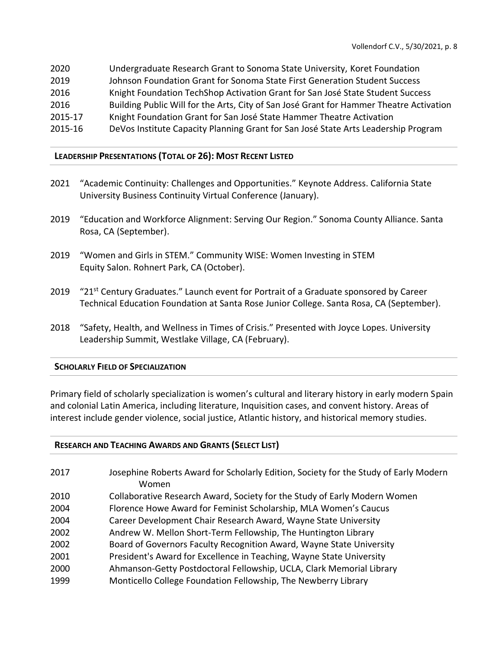| 2020    | Undergraduate Research Grant to Sonoma State University, Koret Foundation               |
|---------|-----------------------------------------------------------------------------------------|
| 2019    | Johnson Foundation Grant for Sonoma State First Generation Student Success              |
| 2016    | Knight Foundation TechShop Activation Grant for San José State Student Success          |
| 2016    | Building Public Will for the Arts, City of San José Grant for Hammer Theatre Activation |
| 2015-17 | Knight Foundation Grant for San José State Hammer Theatre Activation                    |
| 2015-16 | DeVos Institute Capacity Planning Grant for San José State Arts Leadership Program      |

## **LEADERSHIP PRESENTATIONS (TOTAL OF 26): MOST RECENT LISTED**

- 2021 "Academic Continuity: Challenges and Opportunities." Keynote Address. California State University Business Continuity Virtual Conference (January).
- 2019 "Education and Workforce Alignment: Serving Our Region." Sonoma County Alliance. Santa Rosa, CA (September).
- 2019 "Women and Girls in STEM." Community WISE: Women Investing in STEM Equity Salon. Rohnert Park, CA (October).
- 2019 "21<sup>st</sup> Century Graduates." Launch event for Portrait of a Graduate sponsored by Career Technical Education Foundation at Santa Rose Junior College. Santa Rosa, CA (September).
- 2018 "Safety, Health, and Wellness in Times of Crisis." Presented with Joyce Lopes. University Leadership Summit, Westlake Village, CA (February).

## **SCHOLARLY FIELD OF SPECIALIZATION**

Primary field of scholarly specialization is women's cultural and literary history in early modern Spain and colonial Latin America, including literature, Inquisition cases, and convent history. Areas of interest include gender violence, social justice, Atlantic history, and historical memory studies.

## **RESEARCH AND TEACHING AWARDS AND GRANTS (SELECT LIST)**

| 2017 | Josephine Roberts Award for Scholarly Edition, Society for the Study of Early Modern<br>Women |
|------|-----------------------------------------------------------------------------------------------|
| 2010 | Collaborative Research Award, Society for the Study of Early Modern Women                     |
| 2004 | Florence Howe Award for Feminist Scholarship, MLA Women's Caucus                              |
| 2004 | Career Development Chair Research Award, Wayne State University                               |
| 2002 | Andrew W. Mellon Short-Term Fellowship, The Huntington Library                                |
| 2002 | Board of Governors Faculty Recognition Award, Wayne State University                          |
| 2001 | President's Award for Excellence in Teaching, Wayne State University                          |
| 2000 | Ahmanson-Getty Postdoctoral Fellowship, UCLA, Clark Memorial Library                          |
| 1999 | Monticello College Foundation Fellowship, The Newberry Library                                |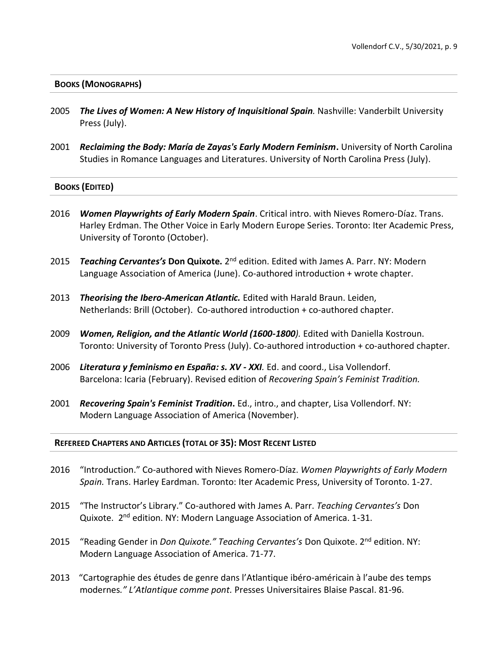### **BOOKS (MONOGRAPHS)**

- 2005 *The Lives of Women: A New History of Inquisitional Spain.* Nashville: Vanderbilt University Press (July).
- 2001 *Reclaiming the Body: María de Zayas's Early Modern Feminism***.** University of North Carolina Studies in Romance Languages and Literatures. University of North Carolina Press (July).

### **BOOKS (EDITED)**

- 2016 *Women Playwrights of Early Modern Spain*. Critical intro. with Nieves Romero-Díaz. Trans. Harley Erdman. The Other Voice in Early Modern Europe Series. Toronto: Iter Academic Press, University of Toronto (October).
- 2015 Teaching Cervantes's Don Quixote. 2<sup>nd</sup> edition. Edited with James A. Parr. NY: Modern Language Association of America (June). Co-authored introduction + wrote chapter.
- 2013 *Theorising the Ibero-American Atlantic.* Edited with Harald Braun. Leiden, Netherlands: Brill (October). Co-authored introduction + co-authored chapter.
- 2009 *Women, Religion, and the Atlantic World (1600-1800).* Edited with Daniella Kostroun. Toronto: University of Toronto Press (July). Co-authored introduction + co-authored chapter.
- 2006 *Literatura y feminismo en España: s. XV - XXI.* Ed. and coord., Lisa Vollendorf. Barcelona: Icaria (February). Revised edition of *Recovering Spain's Feminist Tradition.*
- 2001 *Recovering Spain's Feminist Tradition***.** Ed., intro., and chapter, Lisa Vollendorf. NY: Modern Language Association of America (November).

#### **REFEREED CHAPTERS AND ARTICLES (TOTAL OF 35): MOST RECENT LISTED**

- 2016 "Introduction." Co-authored with Nieves Romero-Díaz. *Women Playwrights of Early Modern Spain.* Trans. Harley Eardman. Toronto: Iter Academic Press, University of Toronto. 1-27.
- 2015 "The Instructor's Library." Co-authored with James A. Parr. *Teaching Cervantes's* Don Quixote. 2<sup>nd</sup> edition. NY: Modern Language Association of America. 1-31.
- 2015 "Reading Gender in *Don Quixote." Teaching Cervantes's* Don Quixote. 2nd edition. NY: Modern Language Association of America. 71-77.
- 2013 "Cartographie des études de genre dans l'Atlantique ibéro-américain à l'aube des temps modernes*." L'Atlantique comme pont.* Presses Universitaires Blaise Pascal. 81-96.